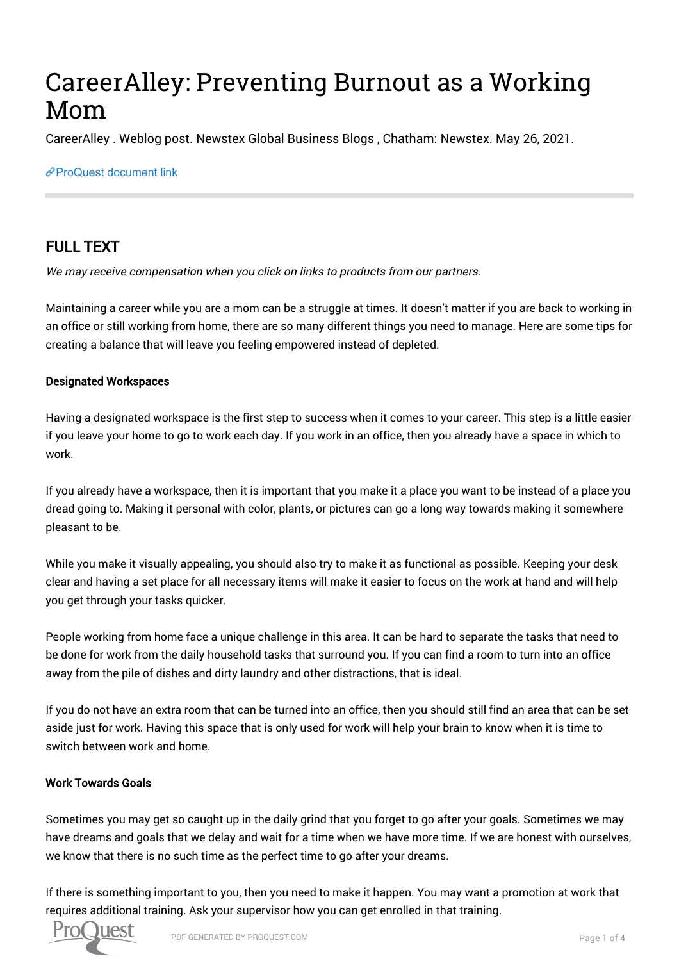# CareerAlley: Preventing Burnout as a Working Mom

CareerAlley . Weblog post. Newstex Global Business Blogs , Chatham: Newstex. May 26, 2021.

#### [ProQuest document link](https://www.proquest.com/blogs-podcasts-websites/careeralley-preventing-burnout-as-working-mom/docview/2531845546/se-2?accountid=44910)

## FULL TEXT

We may receive compensation when you click on links to products from our partners.

Maintaining a career while you are a mom can be a struggle at times. It doesn't matter if you are back to working in an office or still working from home, there are so many different things you need to manage. Here are some tips for creating a balance that will leave you feeling empowered instead of depleted.

#### Designated Workspaces

Having a designated workspace is the first step to success when it comes to your career. This step is a little easier if you leave your home to go to work each day. If you work in an office, then you already have a space in which to work.

If you already have a workspace, then it is important that you make it a place you want to be instead of a place you dread going to. Making it personal with color, plants, or pictures can go a long way towards making it somewhere pleasant to be.

While you make it visually appealing, you should also try to make it as functional as possible. Keeping your desk clear and having a set place for all necessary items will make it easier to focus on the work at hand and will help you get through your tasks quicker.

People working from home face a unique challenge in this area. It can be hard to separate the tasks that need to be done for work from the daily household tasks that surround you. If you can find a room to turn into an office away from the pile of dishes and dirty laundry and other distractions, that is ideal.

If you do not have an extra room that can be turned into an office, then you should still find an area that can be set aside just for work. Having this space that is only used for work will help your brain to know when it is time to switch between work and home.

#### Work Towards Goals

Sometimes you may get so caught up in the daily grind that you forget to go after your goals. Sometimes we may have dreams and goals that we delay and wait for a time when we have more time. If we are honest with ourselves, we know that there is no such time as the perfect time to go after your dreams.

If there is something important to you, then you need to make it happen. You may want a promotion at work that requires additional training. Ask your supervisor how you can get enrolled in that training.

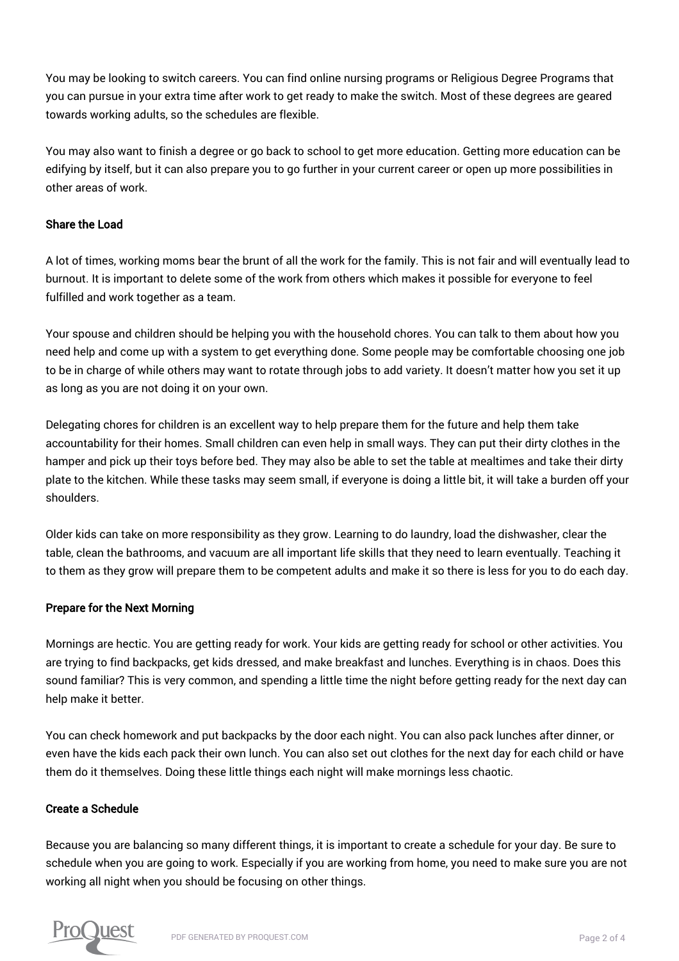You may be looking to switch careers. You can find online nursing programs or Religious Degree Programs that you can pursue in your extra time after work to get ready to make the switch. Most of these degrees are geared towards working adults, so the schedules are flexible.

You may also want to finish a degree or go back to school to get more education. Getting more education can be edifying by itself, but it can also prepare you to go further in your current career or open up more possibilities in other areas of work.

#### Share the Load

A lot of times, working moms bear the brunt of all the work for the family. This is not fair and will eventually lead to burnout. It is important to delete some of the work from others which makes it possible for everyone to feel fulfilled and work together as a team.

Your spouse and children should be helping you with the household chores. You can talk to them about how you need help and come up with a system to get everything done. Some people may be comfortable choosing one job to be in charge of while others may want to rotate through jobs to add variety. It doesn't matter how you set it up as long as you are not doing it on your own.

Delegating chores for children is an excellent way to help prepare them for the future and help them take accountability for their homes. Small children can even help in small ways. They can put their dirty clothes in the hamper and pick up their toys before bed. They may also be able to set the table at mealtimes and take their dirty plate to the kitchen. While these tasks may seem small, if everyone is doing a little bit, it will take a burden off your shoulders.

Older kids can take on more responsibility as they grow. Learning to do laundry, load the dishwasher, clear the table, clean the bathrooms, and vacuum are all important life skills that they need to learn eventually. Teaching it to them as they grow will prepare them to be competent adults and make it so there is less for you to do each day.

#### Prepare for the Next Morning

Mornings are hectic. You are getting ready for work. Your kids are getting ready for school or other activities. You are trying to find backpacks, get kids dressed, and make breakfast and lunches. Everything is in chaos. Does this sound familiar? This is very common, and spending a little time the night before getting ready for the next day can help make it better.

You can check homework and put backpacks by the door each night. You can also pack lunches after dinner, or even have the kids each pack their own lunch. You can also set out clothes for the next day for each child or have them do it themselves. Doing these little things each night will make mornings less chaotic.

#### Create a Schedule

Because you are balancing so many different things, it is important to create a schedule for your day. Be sure to schedule when you are going to work. Especially if you are working from home, you need to make sure you are not working all night when you should be focusing on other things.

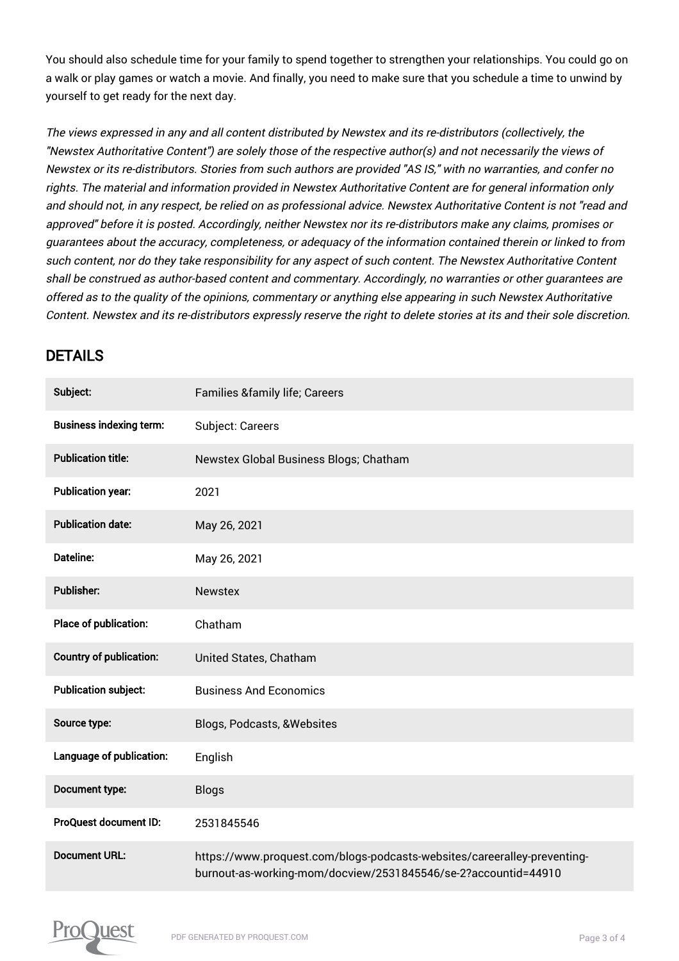You should also schedule time for your family to spend together to strengthen your relationships. You could go on a walk or play games or watch a movie. And finally, you need to make sure that you schedule a time to unwind by yourself to get ready for the next day.

The views expressed in any and all content distributed by Newstex and its re-distributors (collectively, the "Newstex Authoritative Content") are solely those of the respective author(s) and not necessarily the views of Newstex or its re-distributors. Stories from such authors are provided "AS IS," with no warranties, and confer no rights. The material and information provided in Newstex Authoritative Content are for general information only and should not, in any respect, be relied on as professional advice. Newstex Authoritative Content is not "read and approved" before it is posted. Accordingly, neither Newstex nor its re-distributors make any claims, promises or guarantees about the accuracy, completeness, or adequacy of the information contained therein or linked to from such content, nor do they take responsibility for any aspect of such content. The Newstex Authoritative Content shall be construed as author-based content and commentary. Accordingly, no warranties or other guarantees are offered as to the quality of the opinions, commentary or anything else appearing in such Newstex Authoritative Content. Newstex and its re-distributors expressly reserve the right to delete stories at its and their sole discretion.

### DETAILS

| Subject:                       | <b>Families &amp;family life; Careers</b>                                                                                                  |
|--------------------------------|--------------------------------------------------------------------------------------------------------------------------------------------|
| <b>Business indexing term:</b> | Subject: Careers                                                                                                                           |
| <b>Publication title:</b>      | Newstex Global Business Blogs; Chatham                                                                                                     |
| <b>Publication year:</b>       | 2021                                                                                                                                       |
| <b>Publication date:</b>       | May 26, 2021                                                                                                                               |
| <b>Dateline:</b>               | May 26, 2021                                                                                                                               |
| Publisher:                     | <b>Newstex</b>                                                                                                                             |
| Place of publication:          | Chatham                                                                                                                                    |
| <b>Country of publication:</b> | United States, Chatham                                                                                                                     |
| <b>Publication subject:</b>    | <b>Business And Economics</b>                                                                                                              |
| Source type:                   | Blogs, Podcasts, & Websites                                                                                                                |
| Language of publication:       | English                                                                                                                                    |
| Document type:                 | <b>Blogs</b>                                                                                                                               |
| ProQuest document ID:          | 2531845546                                                                                                                                 |
| <b>Document URL:</b>           | https://www.proquest.com/blogs-podcasts-websites/careeralley-preventing-<br>burnout-as-working-mom/docview/2531845546/se-2?accountid=44910 |